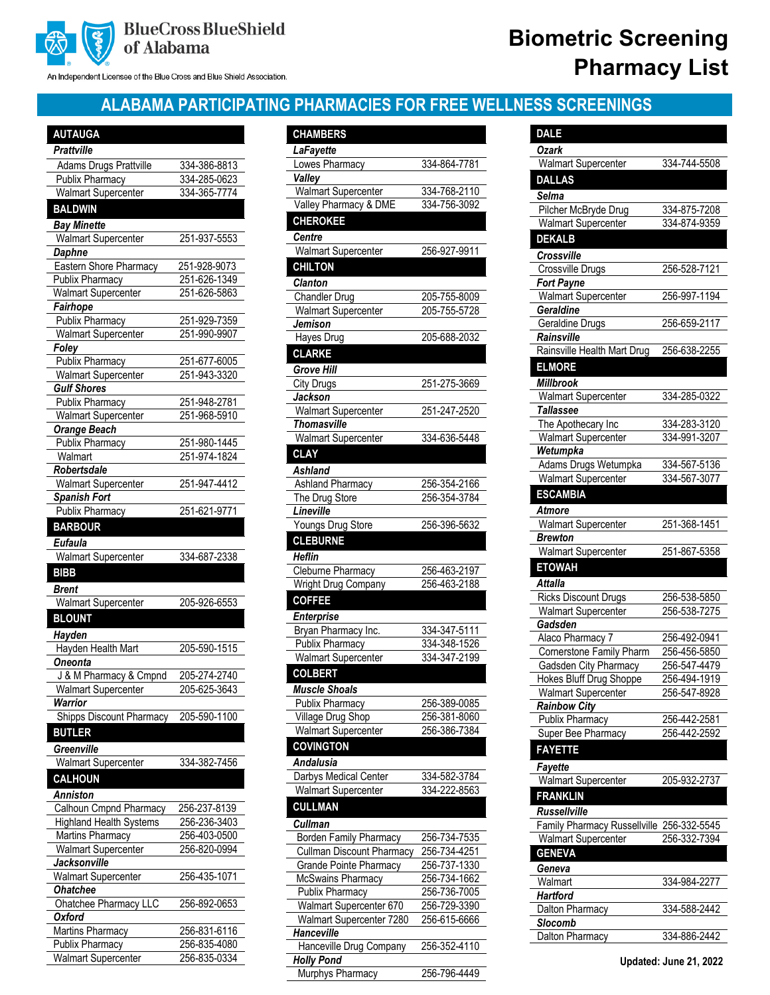

#### An Independent Licensee of the Blue Cross and Blue Shield Association.

# **Biometric Screening Pharmacy List**

## **ALABAMA PARTICIPATING PHARMACIES FOR FREE WELLNESS SCREENINGS**

| <b>AUTAUGA</b>                                |                              |
|-----------------------------------------------|------------------------------|
| <b>Prattville</b>                             |                              |
| <b>Adams Drugs Prattville</b>                 | 334-386-8813                 |
| <b>Publix Pharmacy</b>                        | 334-285-0623                 |
| <b>Walmart Supercenter</b>                    | 334-365-7774                 |
| <b>BALDWIN</b>                                |                              |
|                                               |                              |
| <b>Bay Minette</b>                            |                              |
| <b>Walmart Supercenter</b>                    | 251-937-5553                 |
| <b>Daphne</b>                                 |                              |
| Eastern Shore Pharmacy                        | 251-928-9073                 |
| Publix Pharmacy                               | 251-626-1349                 |
| <b>Walmart Supercenter</b>                    | 251-626-5863                 |
| Fairhope                                      |                              |
| <b>Publix Pharmacy</b>                        | 251-929-7359                 |
| <b>Walmart Supercenter</b>                    | 251-990-9907                 |
| Foley                                         |                              |
| <b>Publix Pharmacy</b>                        | 251-677-6005                 |
| <b>Walmart Supercenter</b>                    | 251-943-3320                 |
| Gulf Shores                                   |                              |
| <b>Publix Pharmacy</b>                        | 251-948-2781                 |
| <b>Walmart Supercenter</b>                    | 251-968-5910                 |
| <b>Orange Beach</b>                           |                              |
| <b>Publix Pharmacy</b>                        | 251-980-1445                 |
| Walmart                                       | 251-974-1824                 |
| Robertsdale                                   |                              |
| <b>Walmart Supercenter</b>                    | 251-947-4412                 |
| <b>Spanish Fort</b>                           |                              |
| Publix Pharmacy                               | 251-621-9771                 |
| <b>BARBOUR</b>                                |                              |
|                                               |                              |
| <b>Eufaula</b>                                |                              |
| Walmart Supercenter                           | 334-687-2338                 |
|                                               |                              |
| <b>BIBB</b>                                   |                              |
| <b>Brent</b>                                  |                              |
| <b>Walmart Supercenter</b>                    | 205-926-6553                 |
| <b>BLOUNT</b>                                 |                              |
| Hayden                                        |                              |
| Hayden Health Mart                            | 205-590-1515                 |
| Oneonta                                       |                              |
| <b>J &amp; M Pharmacy &amp; Cmpnd</b>         | 205-274-2740                 |
| Walmart Supercenter                           | 205-625-3643                 |
| Warrior                                       |                              |
| <b>Shipps Discount Pharmacy</b>               | 205-590-1100                 |
| <b>BUTLER</b>                                 |                              |
|                                               |                              |
| Greenville                                    |                              |
| <b>Walmart Supercenter</b>                    | 334-382-7456                 |
| <b>CALHOUN</b>                                |                              |
| Anniston                                      |                              |
| Calhoun Cmpnd Pharmacy                        | 256-237-8139                 |
| <b>Highland Health Systems</b>                | 256-236-3403                 |
| Martins Pharmacy                              | 256-403-0500                 |
| <b>Walmart Supercenter</b>                    | 256-820-0994                 |
| Jacksonville                                  |                              |
| <b>Walmart Supercenter</b>                    | 256-435-1071                 |
| Ohatchee                                      |                              |
| Ohatchee Pharmacy LLC                         | 256-892-0653                 |
| Oxford                                        |                              |
| Martins Pharmacy                              | 256-831-6116                 |
| Publix Pharmacy<br><b>Walmart Supercenter</b> | 256-835-4080<br>256-835-0334 |

| <b>CHAMBERS</b>                                  |                              |
|--------------------------------------------------|------------------------------|
|                                                  |                              |
| LaFayette                                        |                              |
| Lowes Pharmacy<br>Valley                         | 334-864-7781                 |
| <b>Walmart Supercenter</b>                       | 334-768-2110                 |
| Valley Pharmacy & DME                            | 334-756-3092                 |
| <b>CHEROKEE</b>                                  |                              |
|                                                  |                              |
| Centre                                           |                              |
| <b>Walmart Supercenter</b>                       | 256-927-9911                 |
| <b>CHILTON</b>                                   |                              |
| <b>Clanton</b>                                   |                              |
| Chandler Drug                                    | 205-755-8009                 |
| <b>Walmart Supercenter</b>                       | 205-755-5728                 |
| Jemison                                          | 205-688-2032                 |
| Hayes Drug                                       |                              |
| <b>CLARKE</b>                                    |                              |
| <b>Grove Hill</b>                                |                              |
| City Drugs                                       | 251-275-3669                 |
| Jackson                                          |                              |
| <b>Walmart Supercenter</b><br><b>Thomasville</b> | 251-247-2520                 |
|                                                  | 334-636-5448                 |
| <b>Walmart Supercenter</b><br><b>CLAY</b>        |                              |
|                                                  |                              |
| <b>Ashland</b>                                   |                              |
| <b>Ashland Pharmacy</b>                          | 256-354-2166                 |
| The Drug Store<br>Lineville                      | 256-354-3784                 |
| Youngs Drug Store                                | 256-396-5632                 |
| <b>CLEBURNE</b>                                  |                              |
|                                                  |                              |
| Heflin                                           |                              |
| Cleburne Pharmacy                                | 256-463-2197<br>256-463-2188 |
| Wright Drug Company                              |                              |
| <b>COFFEE</b>                                    |                              |
| <b>Enterprise</b>                                |                              |
| Bryan Pharmacy Inc.                              | 334-347-5111                 |
| Publix Pharmacy                                  | 334-348-1526                 |
| <b>Walmart Supercenter</b>                       | 334-347-2199                 |
| <b>COLBERT</b>                                   |                              |
| <b>Muscle Shoals</b>                             |                              |
| <b>Publix Pharmacy</b>                           | 256-389-0085                 |
| Village Drug Shop                                | 256-381-8060                 |
| <b>Walmart Supercenter</b>                       | 256-386-7384                 |
| <b>COVINGTON</b>                                 |                              |
| Andalusia                                        |                              |
| Darbys Medical Center                            | 334-582-3784                 |
| <b>Walmart Supercenter</b>                       | 334-222-8563                 |
| <b>CULLMAN</b>                                   |                              |
| Cullman                                          |                              |
| <b>Borden Family Pharmacy</b>                    | 256-734-7535                 |
| <b>Cullman Discount Pharmacy</b>                 | 256-734-4251                 |
| <b>Grande Pointe Pharmacy</b>                    | 256-737-1330                 |
| McSwains Pharmacy                                | 256-734-1662                 |
| Publix Pharmacy                                  | 256-736-7005                 |
| Walmart Supercenter 670                          | 256-729-3390                 |
| Walmart Supercenter 7280                         | 256-615-6666                 |
| <b>Hanceville</b>                                |                              |
| Hanceville Drug Company                          | 256-352-4110                 |
| <b>Holly Pond</b>                                |                              |

Murphys Pharmacy 256-796-4449

| <b>DALE</b>                             |              |
|-----------------------------------------|--------------|
| <b>Ozark</b>                            |              |
| <b>Walmart Supercenter</b>              | 334-744-5508 |
| <b>DALLAS</b>                           |              |
| <b>Selma</b>                            |              |
| Pilcher McBryde Drug                    | 334-875-7208 |
| <b>Walmart Supercenter</b>              | 334-874-9359 |
| <b>DEKALB</b>                           |              |
| Crossville                              |              |
| Crossville Drugs                        | 256-528-7121 |
| Fort Payne                              |              |
| <b>Walmart Supercenter</b><br>Geraldine | 256-997-1194 |
| Geraldine Drugs                         | 256-659-2117 |
| Rainsville                              |              |
| Rainsville Health Mart Drug             | 256-638-2255 |
| <b>ELMORE</b>                           |              |
| Millbrook                               |              |
| Walmart Supercenter                     | 334-285-0322 |
| Tallassee                               |              |
| The Apothecary Inc                      | 334-283-3120 |
| Walmart Supercenter                     | 334-991-3207 |
| Wetumpka                                |              |
| Adams Drugs Wetumpka                    | 334-567-5136 |
| Walmart Supercenter                     | 334-567-3077 |
| <b>ESCAMBIA</b>                         |              |
| Atmore                                  |              |
| Walmart Supercenter                     | 251-368-1451 |
| Brewton                                 |              |
| <b>Walmart Supercenter</b>              | 251-867-5358 |
| <b>ETOWAH</b>                           |              |
| <b>Attalla</b>                          |              |
| <b>Ricks Discount Drugs</b>             | 256-538-5850 |
| <b>Walmart Supercenter</b><br>Gadsden   | 256-538-7275 |
| Alaco Pharmacy 7                        | 256-492-0941 |
| Cornerstone Family Pharm                | 256-456-5850 |
| Gadsden City Pharmacy                   | 256-547-4479 |
| Hokes Bluff Drug Shoppe                 | 256-494-1919 |
| <b>Walmart Supercenter</b>              | 256-547-8928 |
| Rainbow City                            |              |
| Publix Pharmacy                         | 256-442-2581 |
| Super Bee Pharmacy                      | 256-442-2592 |
| <b>FAYETTE</b>                          |              |
| Fayette                                 |              |
| Walmart Supercenter                     | 205-932-2737 |
| <b>FRANKLIN</b>                         |              |
| Russellville                            |              |
| Family Pharmacy Russellville            | 256-332-5545 |
| <b>Walmart Supercenter</b>              | 256-332-7394 |
| <b>GENEVA</b>                           |              |
| Geneva                                  |              |
| Walmart                                 | 334-984-2277 |
| Hartford                                |              |
| Dalton Pharmacy                         | 334-588-2442 |
| Slocomb<br>Dalton Pharmacy              | 334-886-2442 |
|                                         |              |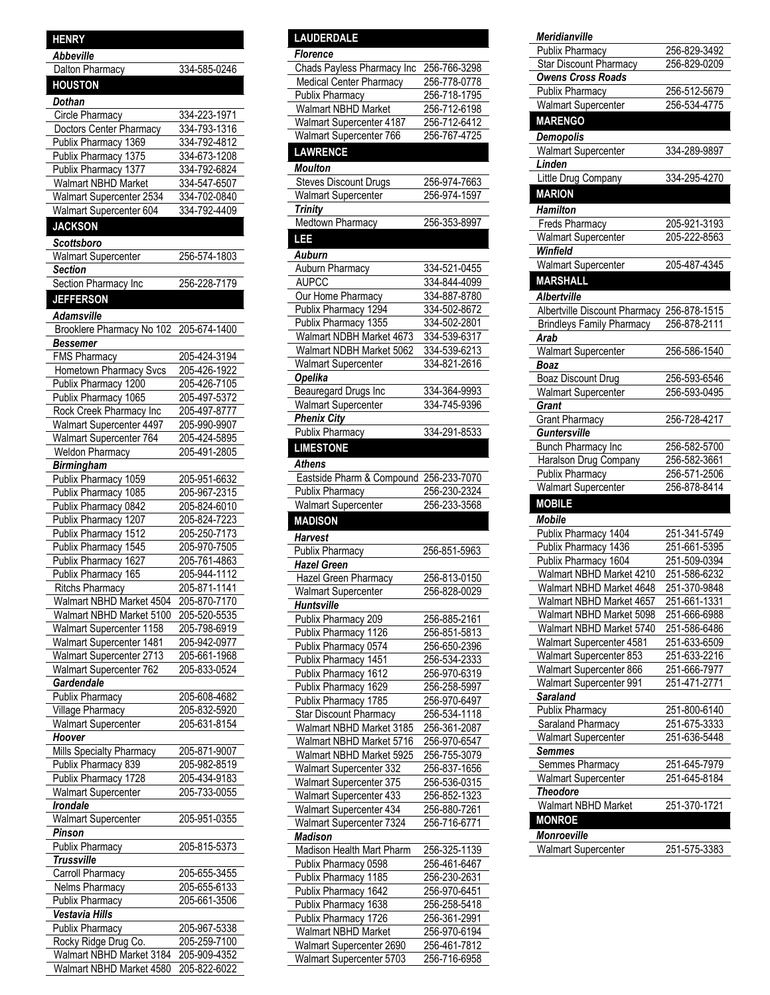| Abbeville                  |              |
|----------------------------|--------------|
| Dalton Pharmacy            | 334-585-0246 |
| <b>HOUSTON</b>             |              |
| Dothan                     |              |
| Circle Pharmacy            | 334-223-1971 |
| Doctors Center Pharmacy    | 334-793-1316 |
| Publix Pharmacy 1369       | 334-792-4812 |
| Publix Pharmacy 1375       | 334-673-1208 |
| Publix Pharmacy 1377       | 334-792-6824 |
| <b>Walmart NBHD Market</b> | 334-547-6507 |
| Walmart Supercenter 2534   | 334-702-0840 |
| Walmart Supercenter 604    | 334-792-4409 |
|                            |              |
| <b>JACKSON</b>             |              |
| Scottsboro                 |              |
| <b>Walmart Supercenter</b> | 256-574-1803 |
| <b>Section</b>             |              |
| Section Pharmacy Inc       | 256-228-7179 |
| <b>JEFFERSON</b>           |              |
| Adamsville                 |              |
| Brooklere Pharmacy No 102  | 205-674-1400 |
|                            |              |
| Bessemer                   | 205-424-3194 |
| <b>FMS Pharmacy</b>        |              |
| Hometown Pharmacy Svcs     | 205-426-1922 |
| Publix Pharmacy 1200       | 205-426-7105 |
| Publix Pharmacy 1065       | 205-497-5372 |
| Rock Creek Pharmacy Inc    | 205-497-8777 |
| Walmart Supercenter 4497   | 205-990-9907 |
| Walmart Supercenter 764    | 205-424-5895 |
| Weldon Pharmacy            | 205-491-2805 |
| <b>Birmingham</b>          |              |
| Publix Pharmacy 1059       | 205-951-6632 |
| Publix Pharmacy 1085       | 205-967-2315 |
| Publix Pharmacy 0842       | 205-824-6010 |
| Publix Pharmacy 1207       | 205-824-7223 |
| Publix Pharmacy 1512       | 205-250-7173 |
| Publix Pharmacy 1545       | 205-970-7505 |
| Publix Pharmacy 1627       | 205-761-4863 |
| Publix Pharmacy 165        | 205-944-1112 |
| <b>Ritchs Pharmacy</b>     | 205-871-1141 |
| Walmart NBHD Market 4504   | 205-870-7170 |
| Walmart NBHD Market 5100   | 205-520-5535 |
| Walmart Supercenter 1158   | 205-798-6919 |
| Walmart Supercenter 1481   | 205-942-0977 |
| Walmart Supercenter 2713   | 205-661-1968 |
| Walmart Supercenter 762    | 205-833-0524 |
| Gardendale                 |              |
| Publix Pharmacy            | 205-608-4682 |
| Village Pharmacy           | 205-832-5920 |
| <b>Walmart Supercenter</b> | 205-631-8154 |
| Hoover                     |              |
|                            |              |
| Mills Specialty Pharmacy   | 205-871-9007 |
| Publix Pharmacy 839        | 205-982-8519 |
| Publix Pharmacy 1728       | 205-434-9183 |
| Walmart Supercenter        | 205-733-0055 |
| Irondale                   |              |
| Walmart Supercenter        | 205-951-0355 |
| Pinson                     |              |
| <b>Publix Pharmacy</b>     | 205-815-5373 |
| <b>Trussville</b>          |              |
| Carroll Pharmacy           | 205-655-3455 |
| Nelms Pharmacy             | 205-655-6133 |
| Publix Pharmacy            | 205-661-3506 |
| Vestavia Hills             |              |

**HENRY**

| Rocky Ridge Drug Co.                  | 205-259-7100 |
|---------------------------------------|--------------|
| Walmart NBHD Market 3184 205-909-4352 |              |
| Walmart NBHD Market 4580 205-822-6022 |              |

Publix Pharmacy 205-967-5338

l

### **LAUDERDALE**

| <u>NUDENDALI</u>                                     |                              |
|------------------------------------------------------|------------------------------|
| <b>Florence</b>                                      |                              |
| Chads Payless Pharmacy Inc                           | 256-766-3298                 |
| <b>Medical Center Pharmacy</b>                       | 256-778-0778                 |
| Publix Pharmacy                                      | 256-718-1795                 |
| Walmart NBHD Market                                  | 256-712-6198<br>256-712-6412 |
| Walmart Supercenter 4187                             |                              |
| Walmart Supercenter 766                              | 256-767-4725                 |
| <b>LAWRENCE</b>                                      |                              |
| <b>Moulton</b>                                       |                              |
| <b>Steves Discount Drugs</b>                         | 256-974-7663                 |
| <b>Walmart Supercenter</b>                           | 256-974-1597                 |
| <b>Trinity</b>                                       |                              |
| Medtown Pharmacy                                     | 256-353-8997                 |
| LEE                                                  |                              |
| Auburn                                               |                              |
| Auburn Pharmacy                                      | 334-521-0455                 |
| <b>AUPCC</b>                                         | 334-844-4099                 |
| Our Home Pharmacy                                    | 334-887-8780                 |
| Publix Pharmacy 1294                                 | 334-502-8672                 |
| Publix Pharmacy 1355                                 | 334-502-2801                 |
| Walmart NDBH Market 4673                             | 334-539-6317                 |
| Walmart NDBH Market 5062                             | 334-539-6213                 |
|                                                      | 334-821-2616                 |
| <b>Walmart Supercenter</b><br><b>Opelika</b>         |                              |
| <b>Beauregard Drugs Inc</b>                          | 334-364-9993                 |
| <b>Walmart Supercenter</b>                           | 334-745-9396                 |
| <b>Phenix City</b>                                   |                              |
| Publix Pharmacy                                      | 334-291-8533                 |
| <b>LIMESTONE</b>                                     |                              |
|                                                      |                              |
| Athens                                               |                              |
| Eastside Pharm & Compound 256-233-7070               |                              |
| Publix Pharmacy                                      | 256-230-2324                 |
|                                                      |                              |
| <b>Walmart Supercenter</b>                           | 256-233-3568                 |
| <b>MADISON</b>                                       |                              |
| <b>Harvest</b>                                       |                              |
| <b>Publix Pharmacy</b>                               | 256-851-5963                 |
| <b>Hazel Green</b>                                   |                              |
| Hazel Green Pharmacy                                 | 256-813-0150                 |
| Walmart Supercenter                                  | 256-828-0029                 |
| <b>Huntsville</b>                                    |                              |
| Publix Pharmacy 209                                  | 256-885-2161                 |
| Publix Pharmacy 1126                                 | 256-851-5813                 |
| Publix Pharmacy 0574                                 | 256-650-2396                 |
| Publix Pharmacy 1451                                 | 256-534-2333                 |
| Publix Pharmacy 1612                                 | 256-970-6319                 |
| Publix Pharmacy 1629                                 | 256-258-5997                 |
| Publix Pharmacy 1785                                 | 256-970-6497                 |
| <b>Star Discount Pharmacy</b>                        | 256-534-1118                 |
| Walmart NBHD Market 3185                             | 256-361-2087                 |
| Walmart NBHD Market 5716                             | 256-970-6547                 |
| Walmart NBHD Market 5925                             | 256-755-3079                 |
| Walmart Supercenter 332                              | 256-837-1656                 |
| Walmart Supercenter 375                              | 256-536-0315                 |
| Walmart Supercenter 433                              | 256-852-1323                 |
| Walmart Supercenter 434                              | 256-880-7261                 |
| Walmart Supercenter 7324                             | 256-716-6771                 |
| <b>Madison</b>                                       |                              |
| Madison Health Mart Pharm                            | 256-325-1139                 |
| Publix Pharmacy 0598                                 | 256-461-6467                 |
| Publix Pharmacy 1185                                 | <u>256-230-2631</u>          |
| Publix Pharmacy 1642                                 | 256-970-6451                 |
| Publix Pharmacy 1638                                 | 256-258-5418                 |
| Publix Pharmacy 1726                                 | 256-361-2991                 |
| Walmart NBHD Market                                  | 256-970-6194                 |
| Walmart Supercenter 2690<br>Walmart Supercenter 5703 | 256-461-7812<br>256-716-6958 |

### *Meridianville*

. <sup>-</sup> Ī  $\overline{1}$  $\overline{\phantom{a}}$ j Ĭ  $\overline{1}$  $\overline{\mathsf{I}}$ j I  $\overline{a}$ Ì  $\overline{a}$ Ĩ  $\overline{a}$ 1 Ì  $\overline{a}$ **.** Ì . j Ĭ  $\overline{1}$  $\overline{\mathsf{I}}$ j j  $\overline{a}$ **.** Ì  $\overline{a}$ j I .<br>.

L Ĭ . j Ī .  $\overline{a}$  $\overline{\phantom{a}}$  $\overline{a}$  $\overline{a}$ 

| Publix Pharmacy                                  | 256-829-3492 |
|--------------------------------------------------|--------------|
| Star Discount Pharmacy                           | 256-829-0209 |
| <b>Owens Cross Roads</b>                         |              |
| <b>Publix Pharmacy</b>                           | 256-512-5679 |
| <b>Walmart Supercenter</b>                       | 256-534-4775 |
| <b>MARENGO</b>                                   |              |
| Demopolis                                        |              |
| <b>Walmart Supercenter</b>                       | 334-289-9897 |
| Linden                                           |              |
| Little Drug Company                              | 334-295-4270 |
| <b>MARION</b>                                    |              |
|                                                  |              |
| Hamilton                                         |              |
| Freds Pharmacy                                   | 205-921-3193 |
| <b>Walmart Supercenter</b>                       | 205-222-8563 |
| Winfield                                         |              |
| <b>Walmart Supercenter</b>                       | 205-487-4345 |
| <b>MARSHALL</b>                                  |              |
| <b>Albertville</b>                               |              |
| Albertville Discount Pharmacy 256-878-1515       |              |
| <b>Brindleys Family Pharmacy</b>                 | 256-878-2111 |
| Arab                                             |              |
| <b>Walmart Supercenter</b>                       | 256-586-1540 |
| <b>Boaz</b>                                      |              |
| <b>Boaz Discount Drug</b>                        | 256-593-6546 |
| <b>Walmart Supercenter</b>                       | 256-593-0495 |
| Grant                                            |              |
| <b>Grant Pharmacy</b>                            | 256-728-4217 |
| Guntersville                                     |              |
| Bunch Pharmacy Inc                               | 256-582-5700 |
| Haralson Drug Company                            | 256-582-3661 |
| <b>Publix Pharmacy</b>                           | 256-571-2506 |
| <b>Walmart Supercenter</b>                       | 256-878-8414 |
| <b>MOBILE</b>                                    |              |
| <b>Mobile</b>                                    |              |
| Publix Pharmacy 1404                             | 251-341-5749 |
| Publix Pharmacy 1436                             | 251-661-5395 |
| Publix Pharmacy 1604                             | 251-509-0394 |
| Walmart NBHD Market 4210                         | 251-586-6232 |
| Walmart NBHD Market 4648                         | 251-370-9848 |
| Walmart NBHD Market 4657                         | 251-661-1331 |
| Walmart NBHD Market 5098                         | 251-666-6988 |
| Walmart NBHD Market 5740                         | 251-586-6486 |
| Walmart Supercenter 4581                         | 251-633-6509 |
| Walmart Supercenter 853                          | 251-633-2216 |
| Walmart Supercenter 866                          | 251-666-7977 |
| Walmart Supercenter 991                          | 251-471-2771 |
| <b>Saraland</b>                                  |              |
| Publix Pharmacy                                  | 251-800-6140 |
|                                                  | 251-675-3333 |
| <b>Saraland Pharmacy</b><br>Walmart Supercenter  | 251-636-5448 |
| <b>Semmes</b>                                    |              |
| Semmes Pharmacy                                  | 251-645-7979 |
|                                                  |              |
| Walmart Supercenter                              | 251-645-8184 |
| <b>Theodore</b>                                  |              |
| Walmart NBHD Market                              | 251-370-1721 |
| <b>MONROE</b>                                    |              |
|                                                  |              |
| <b>Monroeville</b><br><b>Walmart Supercenter</b> | 251-575-3383 |